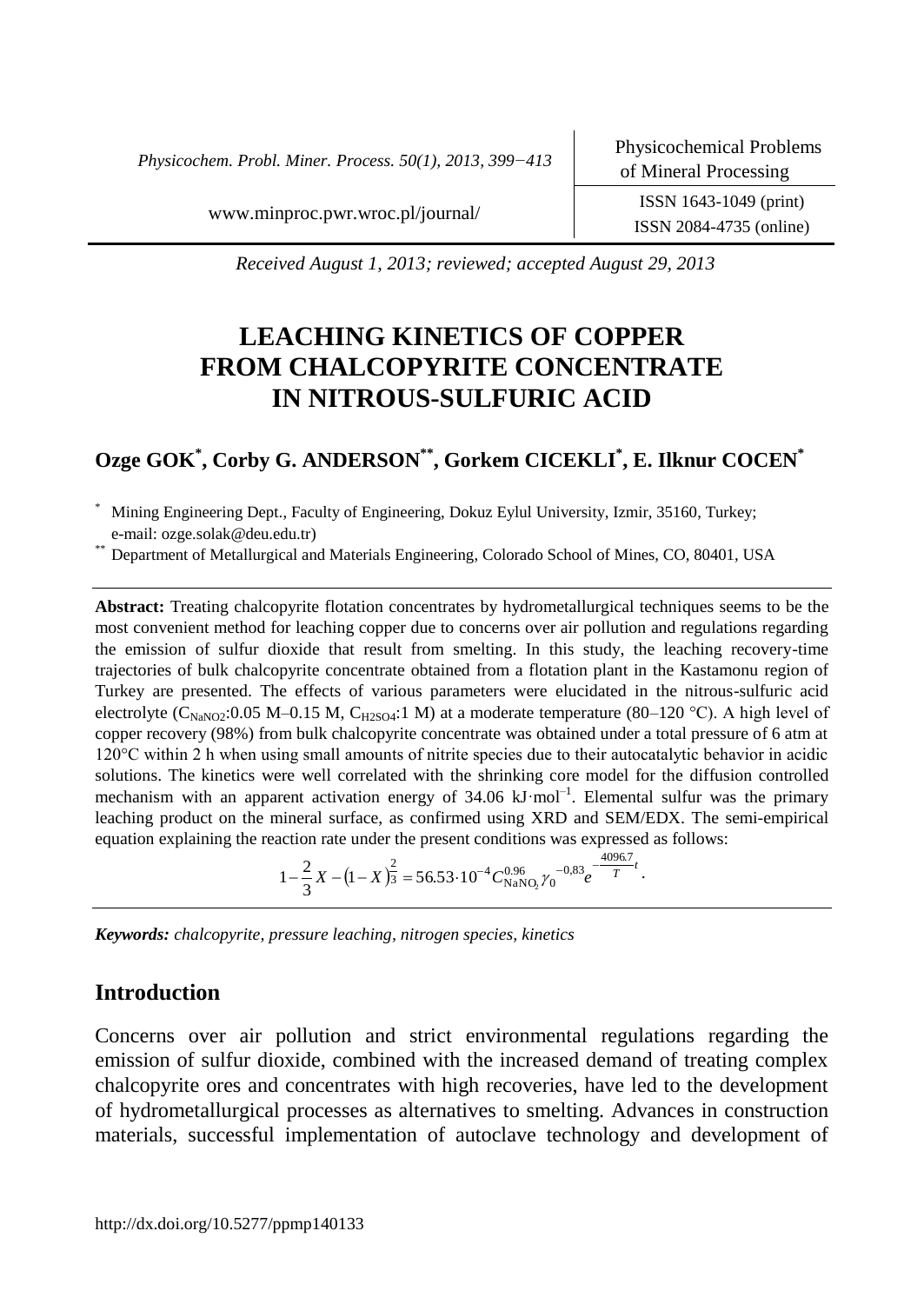*Physicochem. Probl. Miner. Process. 50(1), 2013, 399−413*

ISSN 2084-4735 (online)

[www.minproc.pwr.wroc.pl/journal/](http://www.minproc.pwr.wroc.pl/journal/) ISSN 1643-1049 (print)

*Received August 1, 2013; reviewed; accepted August 29, 2013*

# **LEACHING KINETICS OF COPPER FROM CHALCOPYRITE CONCENTRATE IN NITROUS-SULFURIC ACID**

# **Ozge GOK\* , Corby G. ANDERSON\*\*, Gorkem CICEKLI\* , E. Ilknur COCEN\***

Mining Engineering Dept., Faculty of Engineering, Dokuz Eylul University, Izmir, 35160, Turkey; e-mail: ozge.solak@deu.edu.tr)

\*\* Department of Metallurgical and Materials Engineering, Colorado School of Mines, CO, 80401, USA

**Abstract:** Treating chalcopyrite flotation concentrates by hydrometallurgical techniques seems to be the most convenient method for leaching copper due to concerns over air pollution and regulations regarding the emission of sulfur dioxide that result from smelting. In this study, the leaching recovery-time trajectories of bulk chalcopyrite concentrate obtained from a flotation plant in the Kastamonu region of Turkey are presented. The effects of various parameters were elucidated in the nitrous-sulfuric acid electrolyte (C<sub>NaNO2</sub>:0.05 M–0.15 M, C<sub>H2SO4</sub>:1 M) at a moderate temperature (80–120 °C). A high level of copper recovery (98%) from bulk chalcopyrite concentrate was obtained under a total pressure of 6 atm at 120°C within 2 h when using small amounts of nitrite species due to their autocatalytic behavior in acidic solutions. The kinetics were well correlated with the shrinking core model for the diffusion controlled mechanism with an apparent activation energy of  $34.06 \text{ kJ·mol}^{-1}$ . Elemental sulfur was the primary leaching product on the mineral surface, as confirmed using XRD and SEM/EDX. The semi-empirical equation explaining the reaction rate under the present conditions was expressed as follows:

$$
1 - \frac{2}{3}X - (1 - X)^{\frac{2}{3}} = 56.53 \cdot 10^{-4} C_{\text{NANO}_2}^{0.96} {\gamma_0}^{-0.83} e^{\frac{-4096.7}{T}}.
$$

*Keywords: chalcopyrite, pressure leaching, nitrogen species, kinetics* 

# **Introduction**

Concerns over air pollution and strict environmental regulations regarding the emission of sulfur dioxide, combined with the increased demand of treating complex chalcopyrite ores and concentrates with high recoveries, have led to the development of hydrometallurgical processes as alternatives to smelting. Advances in construction materials, successful implementation of autoclave technology and development of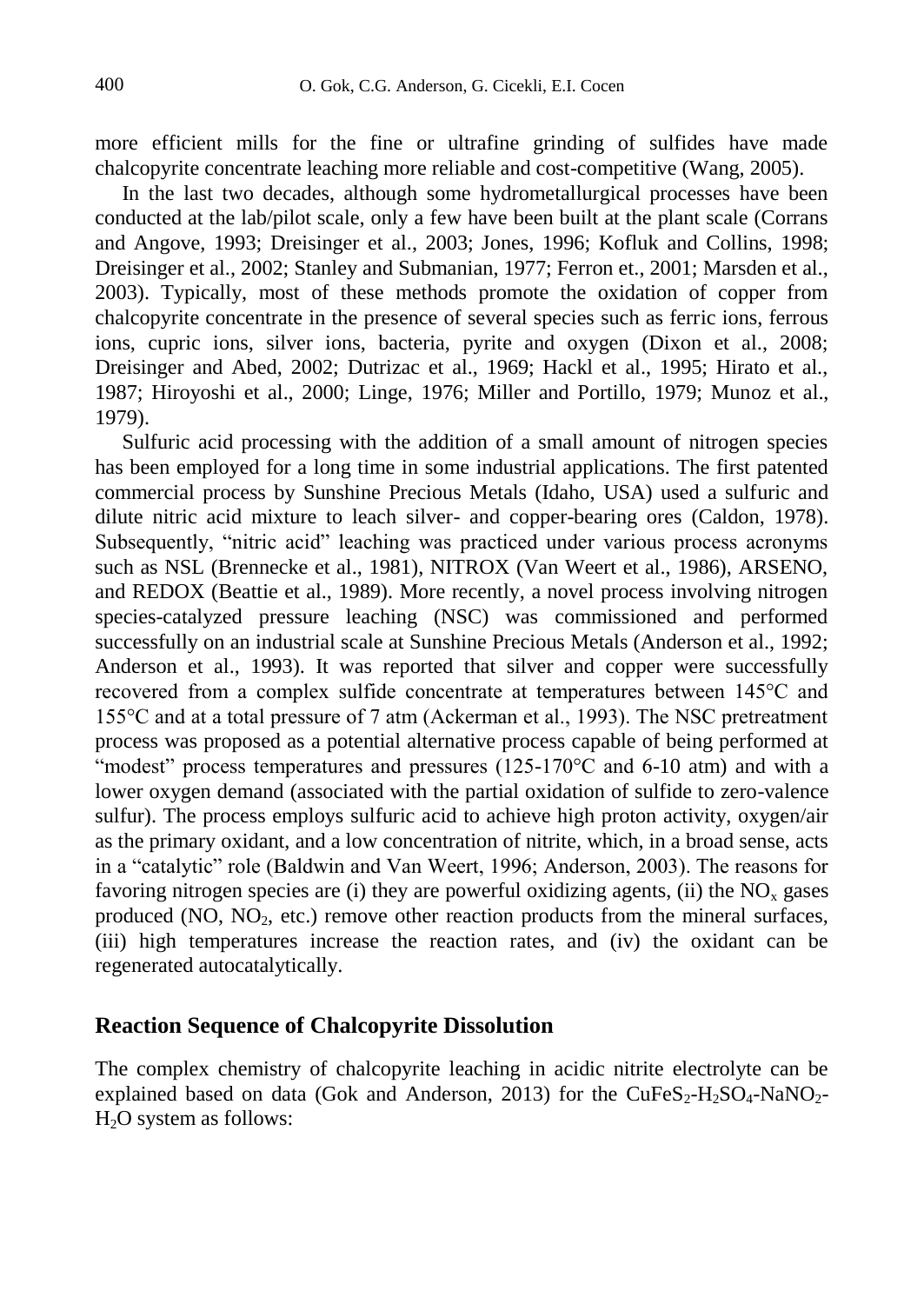more efficient mills for the fine or ultrafine grinding of sulfides have made chalcopyrite concentrate leaching more reliable and cost-competitive (Wang, 2005).

In the last two decades, although some hydrometallurgical processes have been conducted at the lab/pilot scale, only a few have been built at the plant scale (Corrans and Angove, 1993; Dreisinger et al., 2003; Jones, 1996; Kofluk and Collins, 1998; Dreisinger et al., 2002; Stanley and Submanian, 1977; Ferron et., 2001; Marsden et al., 2003). Typically, most of these methods promote the oxidation of copper from chalcopyrite concentrate in the presence of several species such as ferric ions, ferrous ions, cupric ions, silver ions, bacteria, pyrite and oxygen (Dixon et al., 2008; Dreisinger and Abed, 2002; Dutrizac et al., 1969; Hackl et al., 1995; Hirato et al., 1987; Hiroyoshi et al., 2000; Linge, 1976; Miller and Portillo, 1979; Munoz et al., 1979).

Sulfuric acid processing with the addition of a small amount of nitrogen species has been employed for a long time in some industrial applications. The first patented commercial process by Sunshine Precious Metals (Idaho, USA) used a sulfuric and dilute nitric acid mixture to leach silver- and copper-bearing ores (Caldon, 1978). Subsequently, "nitric acid" leaching was practiced under various process acronyms such as NSL (Brennecke et al., 1981), NITROX (Van Weert et al., 1986), ARSENO, and REDOX (Beattie et al., 1989). More recently, a novel process involving nitrogen species-catalyzed pressure leaching (NSC) was commissioned and performed successfully on an industrial scale at Sunshine Precious Metals (Anderson et al., 1992; Anderson et al., 1993). It was reported that silver and copper were successfully recovered from a complex sulfide concentrate at temperatures between 145°C and 155°C and at a total pressure of 7 atm (Ackerman et al., 1993). The NSC pretreatment process was proposed as a potential alternative process capable of being performed at "modest" process temperatures and pressures  $(125-170^{\circ}$ C and 6-10 atm) and with a lower oxygen demand (associated with the partial oxidation of sulfide to zero-valence sulfur). The process employs sulfuric acid to achieve high proton activity, oxygen/air as the primary oxidant, and a low concentration of nitrite, which, in a broad sense, acts in a "catalytic" role (Baldwin and Van Weert, 1996; Anderson, 2003). The reasons for favoring nitrogen species are (i) they are powerful oxidizing agents, (ii) the  $NO<sub>x</sub>$  gases produced ( $NO$ ,  $NO<sub>2</sub>$ , etc.) remove other reaction products from the mineral surfaces, (iii) high temperatures increase the reaction rates, and (iv) the oxidant can be regenerated autocatalytically.

# **Reaction Sequence of Chalcopyrite Dissolution**

The complex chemistry of chalcopyrite leaching in acidic nitrite electrolyte can be explained based on data (Gok and Anderson, 2013) for the CuFeS<sub>2</sub>-H<sub>2</sub>SO<sub>4</sub>-NaNO<sub>2</sub>- $H<sub>2</sub>O$  system as follows: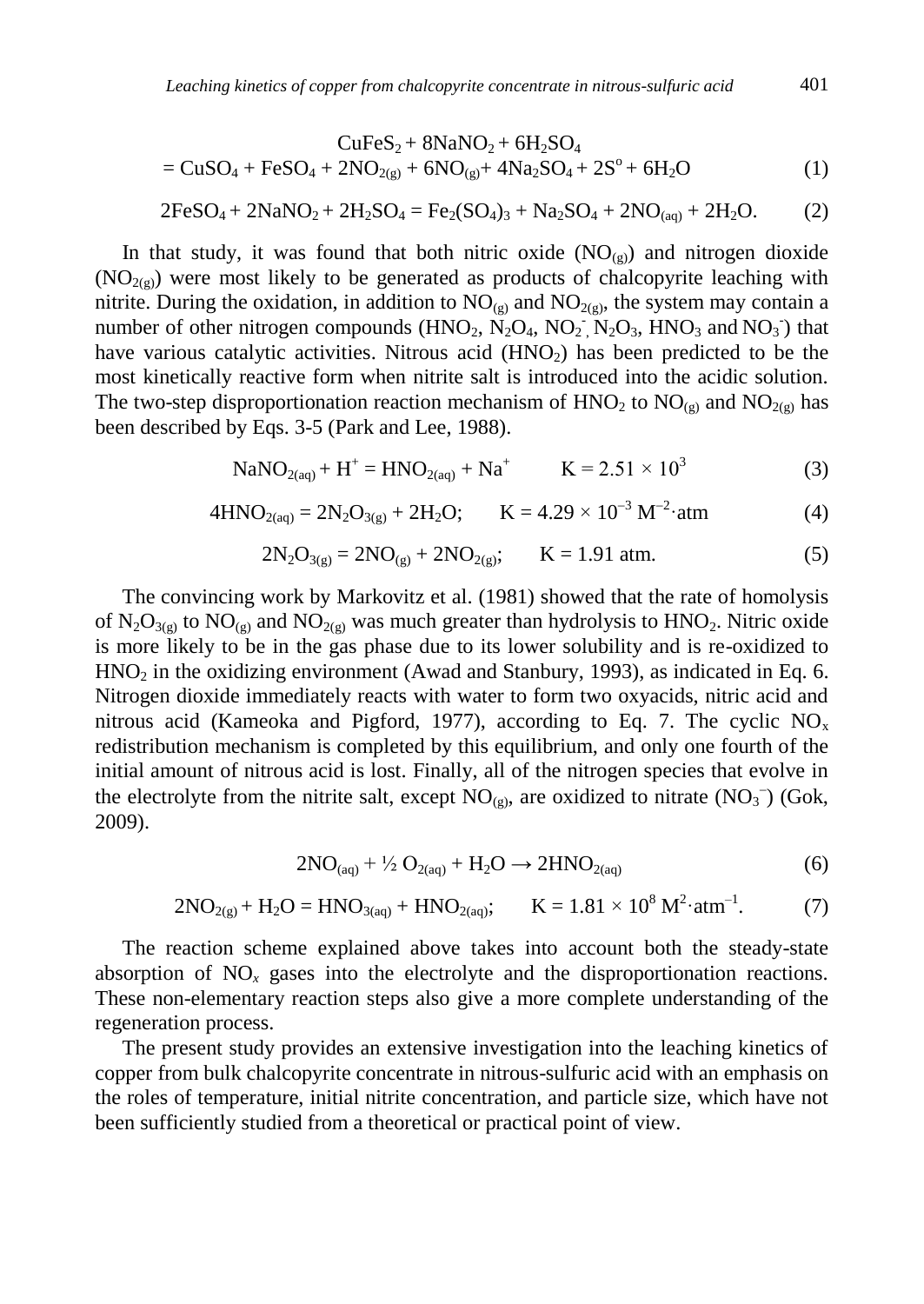$$
CuFeS_2 + 8NaNO_2 + 6H_2SO_4
$$
  
= CuSO<sub>4</sub> + FeSO<sub>4</sub> + 2NO<sub>2(g)</sub> + 6NO<sub>(g)</sub> + 4Na<sub>2</sub>SO<sub>4</sub> + 2S<sup>o</sup> + 6H<sub>2</sub>O (1)

$$
2FeSO_4 + 2NaNO_2 + 2H_2SO_4 = Fe_2(SO_4)_3 + Na_2SO_4 + 2NO_{(aq)} + 2H_2O.
$$
 (2)

In that study, it was found that both nitric oxide  $(NO<sub>(g)</sub>)$  and nitrogen dioxide  $(NO<sub>2(g)</sub>)$  were most likely to be generated as products of chalcopyrite leaching with nitrite. During the oxidation, in addition to  $NO<sub>(g)</sub>$  and  $NO<sub>2(g)</sub>$ , the system may contain a number of other nitrogen compounds  $(HNO_2, N_2O_4, NO_2, N_2O_3, HNO_3 \text{ and } NO_3)$  that have various catalytic activities. Nitrous acid  $(HNO<sub>2</sub>)$  has been predicted to be the most kinetically reactive form when nitrite salt is introduced into the acidic solution. The two-step disproportionation reaction mechanism of  $HNO<sub>2</sub>$  to  $NO<sub>(g)</sub>$  and  $NO<sub>2(g)</sub>$  has been described by Eqs. 3-5 (Park and Lee, 1988).

$$
NaNO_{2(aq)} + H^{+} = HNO_{2(aq)} + Na^{+} \qquad K = 2.51 \times 10^{3}
$$
 (3)

$$
4HNO_{2(aq)} = 2N_2O_{3(g)} + 2H_2O; \qquad K = 4.29 \times 10^{-3} \text{ M}^{-2} \cdot \text{atm}
$$
 (4)

$$
2N_2O_{3(g)} = 2NO_{(g)} + 2NO_{2(g)}; \qquad K = 1.91 \text{ atm.}
$$
 (5)

The convincing work by Markovitz et al. (1981) showed that the rate of homolysis of  $N_2O_{3(g)}$  to  $NO_{(g)}$  and  $NO_{2(g)}$  was much greater than hydrolysis to  $HNO_2$ . Nitric oxide is more likely to be in the gas phase due to its lower solubility and is re-oxidized to  $HNO<sub>2</sub>$  in the oxidizing environment (Awad and Stanbury, 1993), as indicated in Eq. 6. Nitrogen dioxide immediately reacts with water to form two oxyacids, nitric acid and nitrous acid (Kameoka and Pigford, 1977), according to Eq. 7. The cyclic  $NO<sub>x</sub>$ redistribution mechanism is completed by this equilibrium, and only one fourth of the initial amount of nitrous acid is lost. Finally, all of the nitrogen species that evolve in the electrolyte from the nitrite salt, except  $NO_{(g)}$ , are oxidized to nitrate  $(NO<sub>3</sub><sup>-</sup>)$  (Gok, 2009).

$$
2NO(aq) + \frac{1}{2}O2(aq) + H2O \rightarrow 2HNO2(aq)
$$
 (6)

$$
2NO_{2(g)} + H_2O = HNO_{3(aq)} + HNO_{2(aq)}; \qquad K = 1.81 \times 10^8 \text{ M}^2 \cdot \text{atm}^{-1}. \tag{7}
$$

The reaction scheme explained above takes into account both the steady-state absorption of  $NO<sub>x</sub>$  gases into the electrolyte and the disproportionation reactions. These non-elementary reaction steps also give a more complete understanding of the regeneration process.

The present study provides an extensive investigation into the leaching kinetics of copper from bulk chalcopyrite concentrate in nitrous-sulfuric acid with an emphasis on the roles of temperature, initial nitrite concentration, and particle size, which have not been sufficiently studied from a theoretical or practical point of view.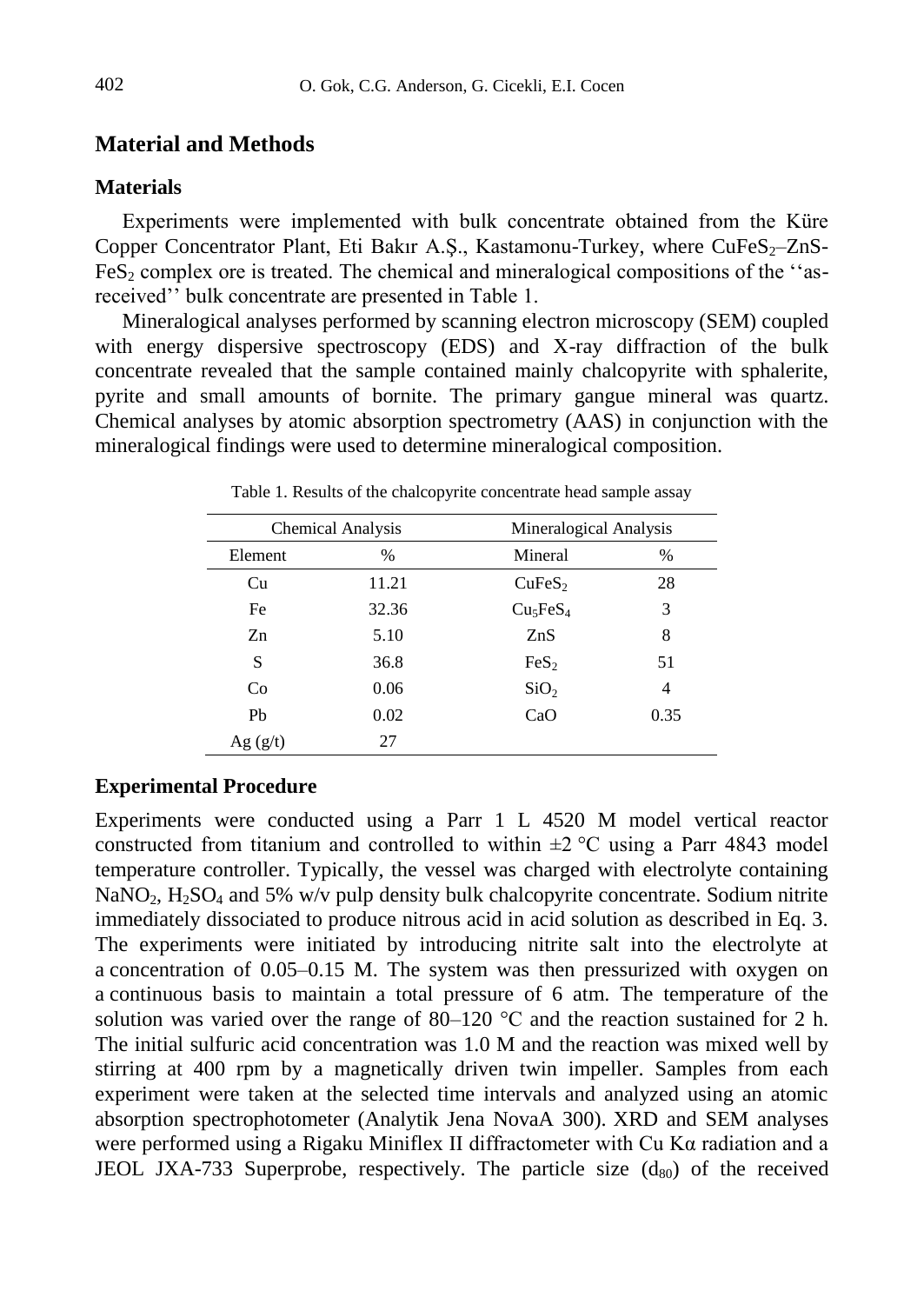# **Material and Methods**

# **Materials**

Experiments were implemented with bulk concentrate obtained from the Küre Copper Concentrator Plant, Eti Bakır A.S., Kastamonu-Turkey, where CuFeS<sub>2</sub>–ZnS- $F \in S<sub>2</sub>$  complex ore is treated. The chemical and mineralogical compositions of the  $\cdot$  asreceived'' bulk concentrate are presented in Table 1.

Mineralogical analyses performed by scanning electron microscopy (SEM) coupled with energy dispersive spectroscopy (EDS) and X-ray diffraction of the bulk concentrate revealed that the sample contained mainly chalcopyrite with sphalerite, pyrite and small amounts of bornite. The primary gangue mineral was quartz. Chemical analyses by atomic absorption spectrometry (AAS) in conjunction with the mineralogical findings were used to determine mineralogical composition.

| <b>Chemical Analysis</b> |       | Mineralogical Analysis           |      |  |
|--------------------------|-------|----------------------------------|------|--|
| Element                  | $\%$  | Mineral                          | $\%$ |  |
| Cu                       | 11.21 | CuFeS <sub>2</sub>               | 28   |  |
| Fe                       | 32.36 | Cu <sub>5</sub> FeS <sub>4</sub> | 3    |  |
| Zn                       | 5.10  | ZnS                              | 8    |  |
| S                        | 36.8  | FeS <sub>2</sub>                 | 51   |  |
| Co                       | 0.06  | SiO <sub>2</sub>                 | 4    |  |
| Ph                       | 0.02  | CaO                              | 0.35 |  |
| Ag(g/t)                  | 27    |                                  |      |  |

Table 1. Results of the chalcopyrite concentrate head sample assay

# **Experimental Procedure**

Experiments were conducted using a Parr 1 L 4520 M model vertical reactor constructed from titanium and controlled to within  $\pm 2$  °C using a Parr 4843 model temperature controller. Typically, the vessel was charged with electrolyte containing NaNO<sub>2</sub>, H<sub>2</sub>SO<sub>4</sub> and 5% w/v pulp density bulk chalcopyrite concentrate. Sodium nitrite immediately dissociated to produce nitrous acid in acid solution as described in Eq. 3. The experiments were initiated by introducing nitrite salt into the electrolyte at a concentration of 0.05–0.15 M. The system was then pressurized with oxygen on a continuous basis to maintain a total pressure of 6 atm. The temperature of the solution was varied over the range of 80–120  $^{\circ}$ C and the reaction sustained for 2 h. The initial sulfuric acid concentration was 1.0 M and the reaction was mixed well by stirring at 400 rpm by a magnetically driven twin impeller. Samples from each experiment were taken at the selected time intervals and analyzed using an atomic absorption spectrophotometer (Analytik Jena NovaA 300). XRD and SEM analyses were performed using a Rigaku Miniflex II diffractometer with Cu Kα radiation and a JEOL JXA-733 Superprobe, respectively. The particle size  $(d_{80})$  of the received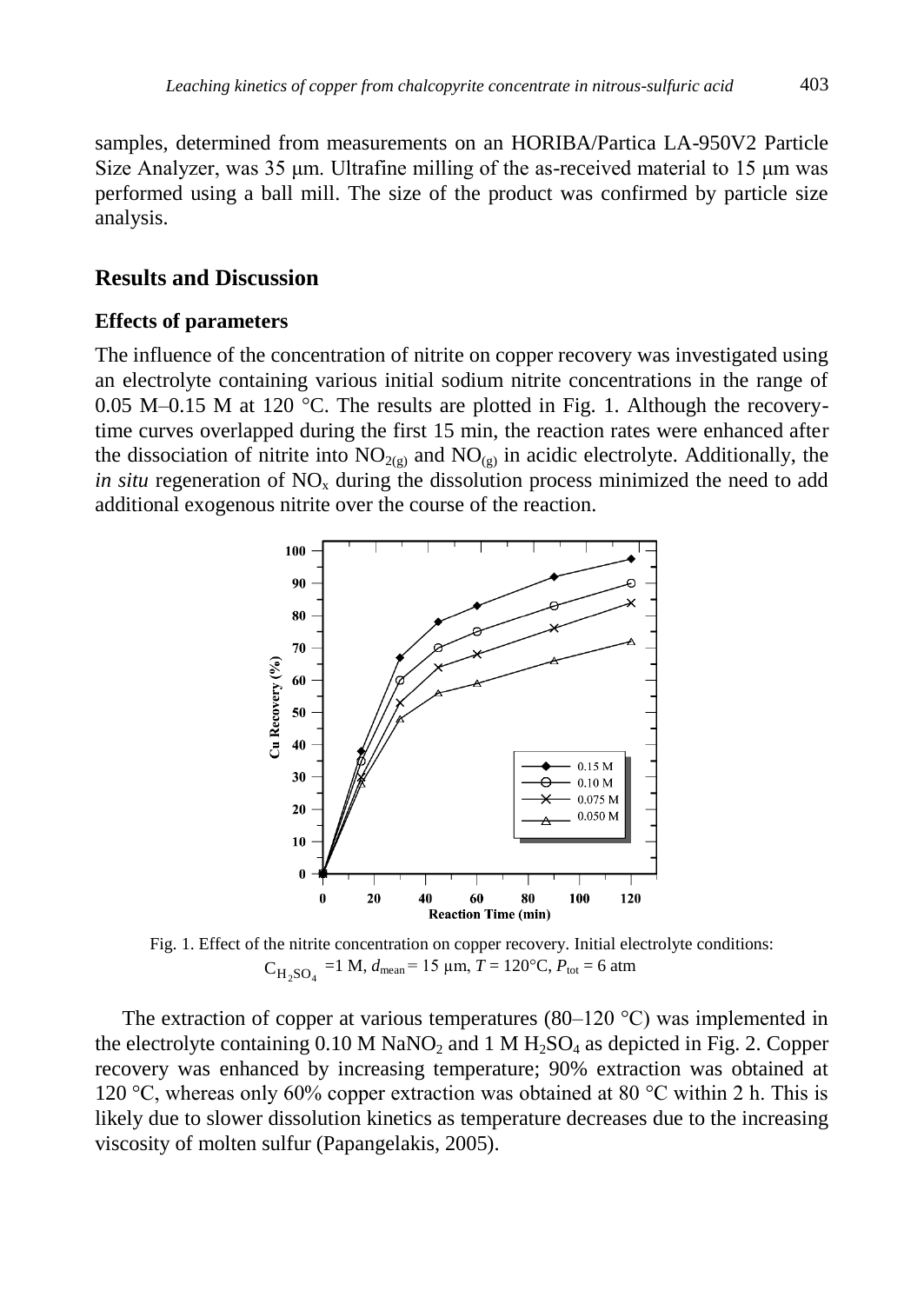samples, determined from measurements on an HORIBA/Partica LA-950V2 Particle Size Analyzer, was 35  $\mu$ m. Ultrafine milling of the as-received material to 15  $\mu$ m was performed using a ball mill. The size of the product was confirmed by particle size analysis.

# **Results and Discussion**

#### **Effects of parameters**

The influence of the concentration of nitrite on copper recovery was investigated using an electrolyte containing various initial sodium nitrite concentrations in the range of 0.05 M–0.15 M at 120  $^{\circ}$ C. The results are plotted in Fig. 1. Although the recoverytime curves overlapped during the first 15 min, the reaction rates were enhanced after the dissociation of nitrite into  $NO<sub>2(g)</sub>$  and  $NO<sub>(g)</sub>$  in acidic electrolyte. Additionally, the *in situ* regeneration of  $NO_x$  during the dissolution process minimized the need to add additional exogenous nitrite over the course of the reaction.



Fig. 1. Effect of the nitrite concentration on copper recovery. Initial electrolyte conditions:  $C_{H_2SO_4}$  =1 M,  $d_{mean}$  = 15 µm,  $T = 120$ °C,  $P_{tot}$  = 6 atm

The extraction of copper at various temperatures (80–120  $^{\circ}$ C) was implemented in the electrolyte containing  $0.10 M NaNO<sub>2</sub>$  and  $1 M H<sub>2</sub>SO<sub>4</sub>$  as depicted in Fig. 2. Copper recovery was enhanced by increasing temperature; 90% extraction was obtained at 120 °C, whereas only 60% copper extraction was obtained at 80 °C within 2 h. This is likely due to slower dissolution kinetics as temperature decreases due to the increasing viscosity of molten sulfur (Papangelakis, 2005).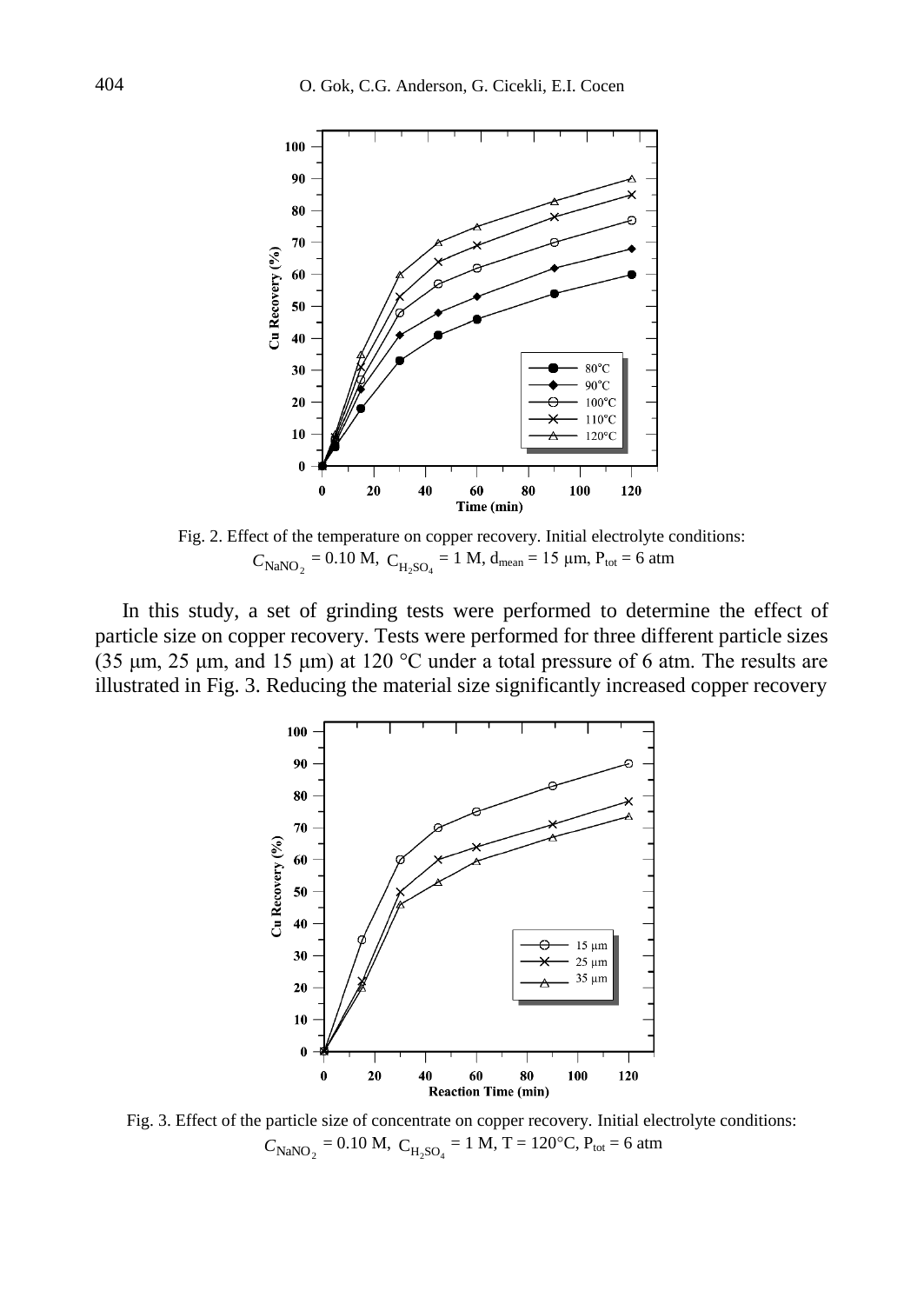

Fig. 2. Effect of the temperature on copper recovery. Initial electrolyte conditions:  $C_{\text{NaNO}_2}$  = 0.10 M,  $C_{\text{H}_2\text{SO}_4}$  = 1 M, d<sub>mean</sub> = 15 µm,  $P_{\text{tot}}$  = 6 atm

In this study, a set of grinding tests were performed to determine the effect of particle size on copper recovery. Tests were performed for three different particle sizes (35 μm, 25 μm, and 15 μm) at 120 °C under a total pressure of 6 atm. The results are illustrated in Fig. 3. Reducing the material size significantly increased copper recovery



Fig. 3. Effect of the particle size of concentrate on copper recovery. Initial electrolyte conditions:  $C_{\text{NaNO}_2} = 0.10 \text{ M}, C_{\text{H}_2\text{SO}_4} = 1 \text{ M}, T = 120^{\circ}\text{C}, P_{\text{tot}} = 6 \text{ atm}$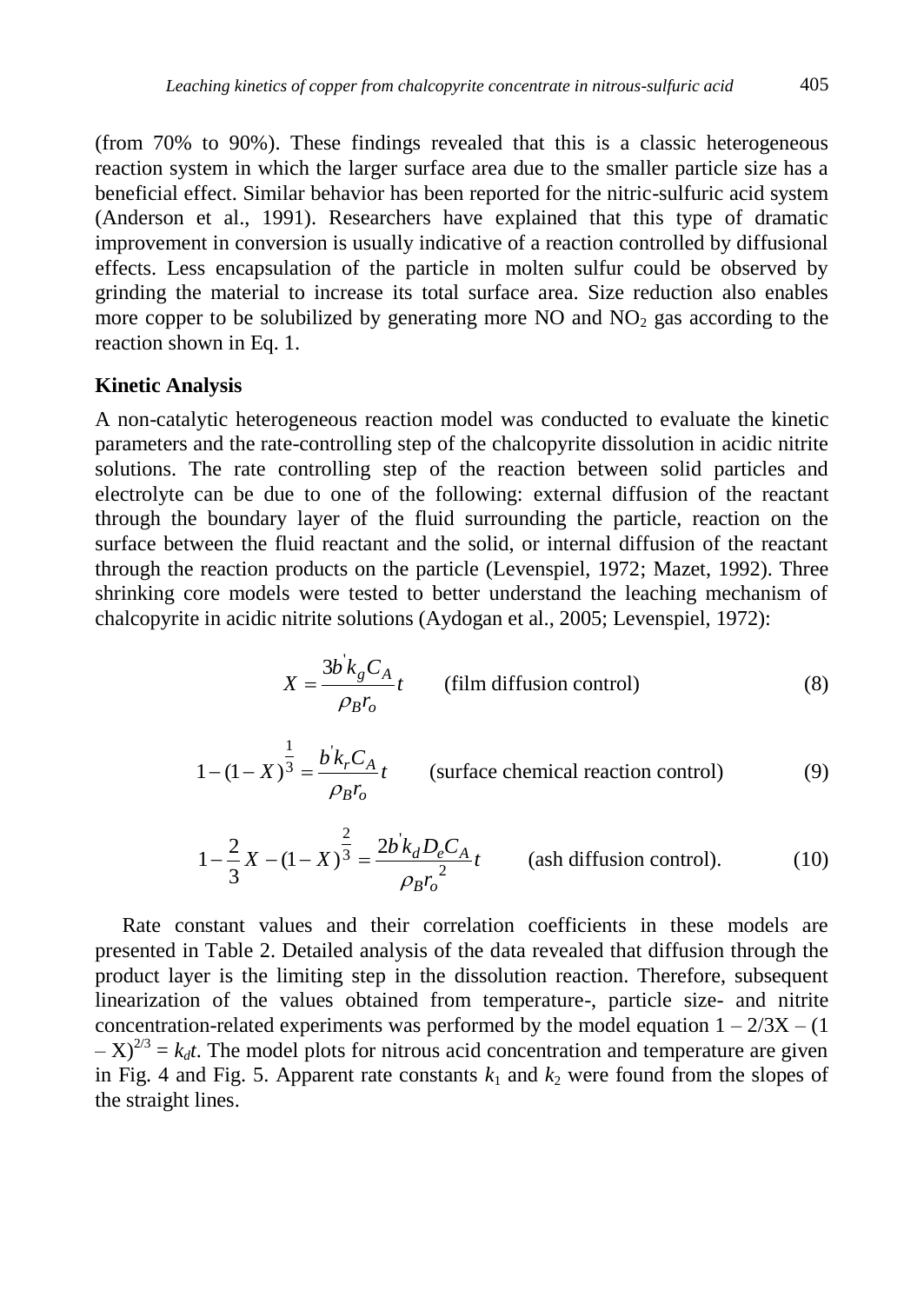(from 70% to 90%). These findings revealed that this is a classic heterogeneous reaction system in which the larger surface area due to the smaller particle size has a beneficial effect. Similar behavior has been reported for the nitric-sulfuric acid system (Anderson et al., 1991). Researchers have explained that this type of dramatic improvement in conversion is usually indicative of a reaction controlled by diffusional effects. Less encapsulation of the particle in molten sulfur could be observed by grinding the material to increase its total surface area. Size reduction also enables more copper to be solubilized by generating more  $NO$  and  $NO<sub>2</sub>$  gas according to the reaction shown in Eq. 1.

# **Kinetic Analysis**

A non-catalytic heterogeneous reaction model was conducted to evaluate the kinetic parameters and the rate-controlling step of the chalcopyrite dissolution in acidic nitrite solutions. The rate controlling step of the reaction between solid particles and electrolyte can be due to one of the following: external diffusion of the reactant through the boundary layer of the fluid surrounding the particle, reaction on the surface between the fluid reactant and the solid, or internal diffusion of the reactant through the reaction products on the particle (Levenspiel, 1972; Mazet, 1992). Three shrinking core models were tested to better understand the leaching mechanism of chalcopyrite in acidic nitrite solutions (Aydogan et al., 2005; Levenspiel, 1972):

$$
X = \frac{3b^{'}k_{g}C_{A}}{\rho_{B}r_{o}}t
$$
 (film diffusion control) (8)

$$
1 - (1 - X)^{\frac{1}{3}} = \frac{b^{\dagger} k_r C_A}{\rho_B r_o} t
$$
 (surface chemical reaction control) (9)

$$
1 - \frac{2}{3}X - (1 - X)^{\frac{2}{3}} = \frac{2b'k_d D_e C_A}{\rho_B r_o^2} t
$$
 (ash diffusion control). (10)

Rate constant values and their correlation coefficients in these models are presented in Table 2. Detailed analysis of the data revealed that diffusion through the product layer is the limiting step in the dissolution reaction. Therefore, subsequent linearization of the values obtained from temperature-, particle size- and nitrite concentration-related experiments was performed by the model equation  $1 - 2/3X - (1)$  $(-X)^{2/3} = k_d t$ . The model plots for nitrous acid concentration and temperature are given in Fig. 4 and Fig. 5. Apparent rate constants  $k_1$  and  $k_2$  were found from the slopes of the straight lines.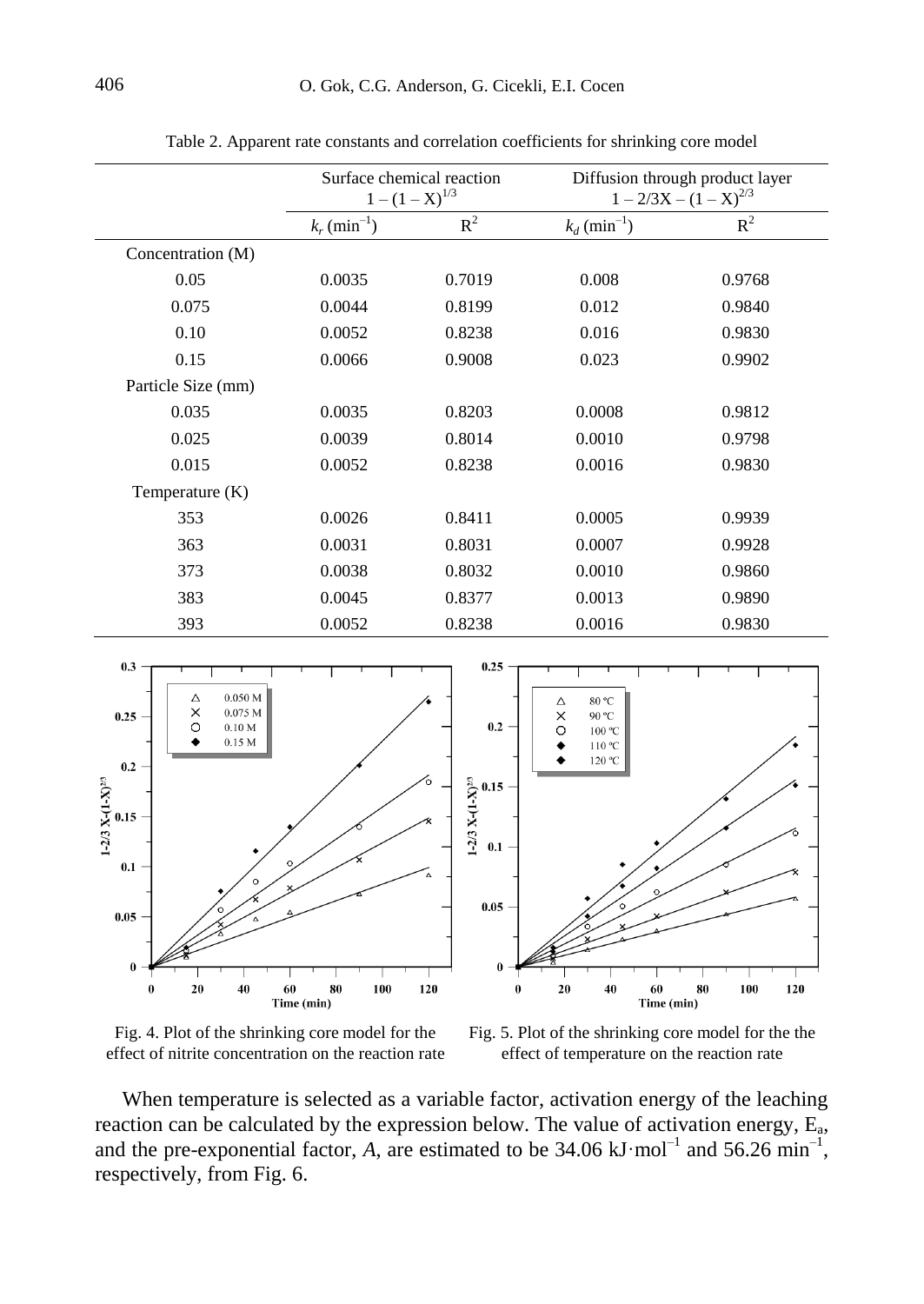|                    | Surface chemical reaction<br>$1-(1-X)^{1/3}$ |        | Diffusion through product layer<br>$1 - 2/3X - (1 - X)^{2/3}$ |        |
|--------------------|----------------------------------------------|--------|---------------------------------------------------------------|--------|
|                    | $k_r$ (min <sup>-1</sup> )                   | $R^2$  | $k_d$ (min <sup>-1</sup> )                                    | $R^2$  |
| Concentration (M)  |                                              |        |                                                               |        |
| 0.05               | 0.0035                                       | 0.7019 | 0.008                                                         | 0.9768 |
| 0.075              | 0.0044                                       | 0.8199 | 0.012                                                         | 0.9840 |
| 0.10               | 0.0052                                       | 0.8238 | 0.016                                                         | 0.9830 |
| 0.15               | 0.0066                                       | 0.9008 | 0.023                                                         | 0.9902 |
| Particle Size (mm) |                                              |        |                                                               |        |
| 0.035              | 0.0035                                       | 0.8203 | 0.0008                                                        | 0.9812 |
| 0.025              | 0.0039                                       | 0.8014 | 0.0010                                                        | 0.9798 |
| 0.015              | 0.0052                                       | 0.8238 | 0.0016                                                        | 0.9830 |
| Temperature (K)    |                                              |        |                                                               |        |
| 353                | 0.0026                                       | 0.8411 | 0.0005                                                        | 0.9939 |
| 363                | 0.0031                                       | 0.8031 | 0.0007                                                        | 0.9928 |
| 373                | 0.0038                                       | 0.8032 | 0.0010                                                        | 0.9860 |
| 383                | 0.0045                                       | 0.8377 | 0.0013                                                        | 0.9890 |
| 393                | 0.0052                                       | 0.8238 | 0.0016                                                        | 0.9830 |

Table 2. Apparent rate constants and correlation coefficients for shrinking core model



Fig. 4. Plot of the shrinking core model for the effect of nitrite concentration on the reaction rate

Fig. 5. Plot of the shrinking core model for the the effect of temperature on the reaction rate

When temperature is selected as a variable factor, activation energy of the leaching reaction can be calculated by the expression below. The value of activation energy,  $E_a$ , and the pre-exponential factor,  $A$ , are estimated to be  $34.06 \text{ kJ} \cdot \text{mol}^{-1}$  and  $56.26 \text{ min}^{-1}$ , respectively, from Fig. 6.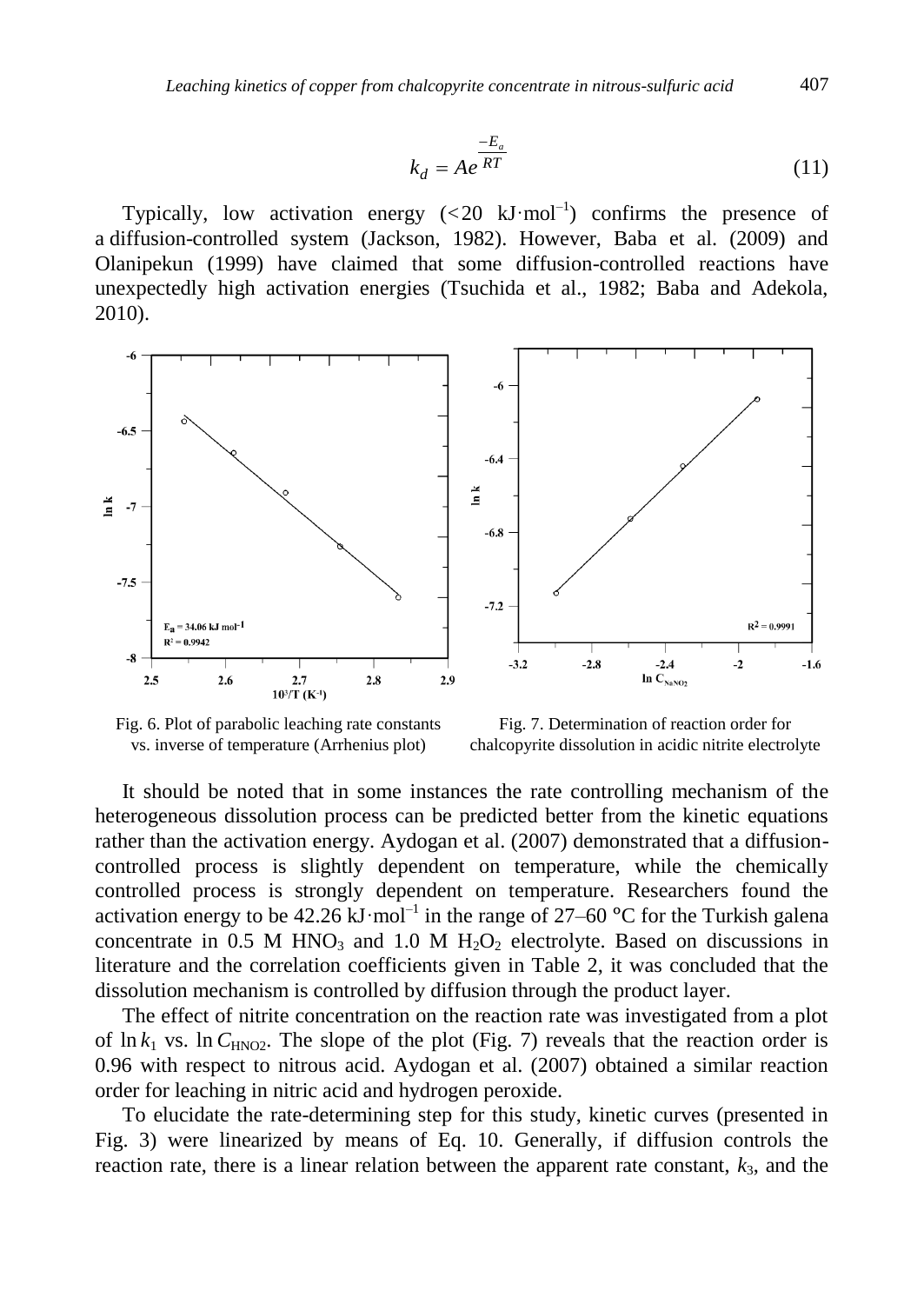$$
k_d = Ae^{\frac{-E_a}{RT}}
$$
 (11)

Typically, low activation energy  $( $20 \text{ kJ/mol}^{-1}$ ) confirms the presence of$ a diffusion-controlled system (Jackson, 1982). However, Baba et al. (2009) and Olanipekun (1999) have claimed that some diffusion-controlled reactions have unexpectedly high activation energies (Tsuchida et al., 1982; Baba and Adekola, 2010).



Fig. 6. Plot of parabolic leaching rate constants vs. inverse of temperature (Arrhenius plot)

Fig. 7. Determination of reaction order for chalcopyrite dissolution in acidic nitrite electrolyte

It should be noted that in some instances the rate controlling mechanism of the heterogeneous dissolution process can be predicted better from the kinetic equations rather than the activation energy. Aydogan et al. (2007) demonstrated that a diffusioncontrolled process is slightly dependent on temperature, while the chemically controlled process is strongly dependent on temperature. Researchers found the activation energy to be  $42.26 \text{ kJ} \cdot \text{mol}^{-1}$  in the range of  $27-60 \text{ °C}$  for the Turkish galena concentrate in 0.5 M HNO<sub>3</sub> and 1.0 M H<sub>2</sub>O<sub>2</sub> electrolyte. Based on discussions in literature and the correlation coefficients given in Table 2, it was concluded that the dissolution mechanism is controlled by diffusion through the product layer.

The effect of nitrite concentration on the reaction rate was investigated from a plot of  $\ln k_1$  vs.  $\ln C_{\text{HNO2}}$ . The slope of the plot (Fig. 7) reveals that the reaction order is 0.96 with respect to nitrous acid. Aydogan et al. (2007) obtained a similar reaction order for leaching in nitric acid and hydrogen peroxide.

To elucidate the rate-determining step for this study, kinetic curves (presented in Fig. 3) were linearized by means of Eq. 10. Generally, if diffusion controls the reaction rate, there is a linear relation between the apparent rate constant,  $k_3$ , and the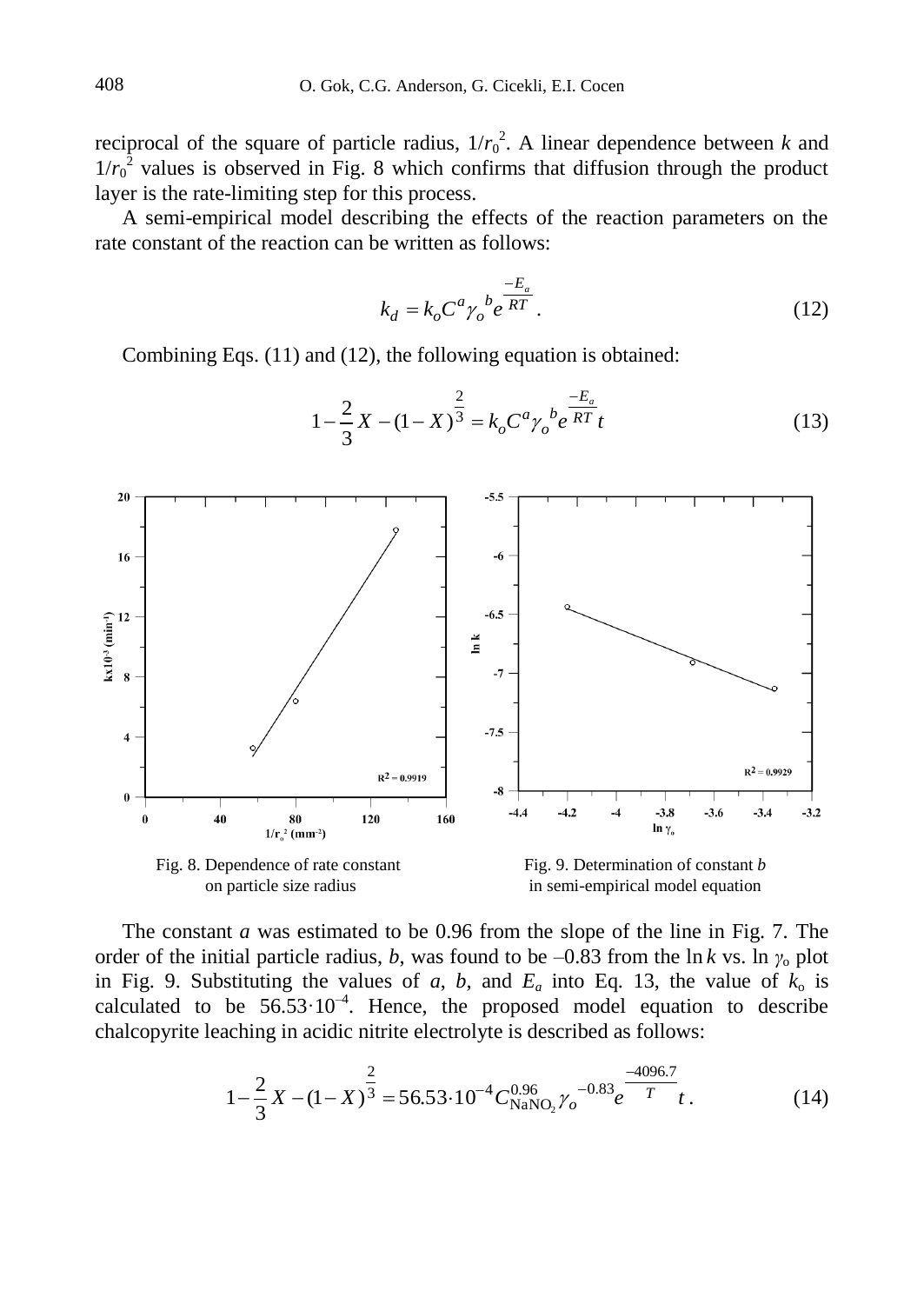reciprocal of the square of particle radius,  $1/r_0^2$ . A linear dependence between *k* and  $1/r_0^2$  values is observed in Fig. 8 which confirms that diffusion through the product layer is the rate-limiting step for this process.

A semi-empirical model describing the effects of the reaction parameters on the rate constant of the reaction can be written as follows:

$$
k_d = k_o C^a \gamma_o^b e^{\frac{-E_a}{RT}}.
$$
\n(12)

Combining Eqs. (11) and (12), the following equation is obtained:



$$
1 - \frac{2}{3}X - (1 - X)^{\frac{2}{3}} = k_o C^a \gamma_o^b e^{\frac{-E_a}{RT}} t
$$
 (13)

The constant *a* was estimated to be 0.96 from the slope of the line in Fig. 7. The order of the initial particle radius, *b*, was found to be –0.83 from the ln *k* vs. ln  $\gamma_0$  plot in Fig. 9. Substituting the values of *a*, *b*, and  $E_a$  into Eq. 13, the value of  $k_0$  is calculated to be  $56.53 \cdot 10^{-4}$ . Hence, the proposed model equation to describe chalcopyrite leaching in acidic nitrite electrolyte is described as follows:

$$
1 - \frac{2}{3}X - (1 - X)^{\frac{2}{3}} = 56.53 \cdot 10^{-4} C_{\text{NaNO}_2}^{0.96} \gamma_o^{-0.83} e^{\frac{-4096.7}{T}} t. \tag{14}
$$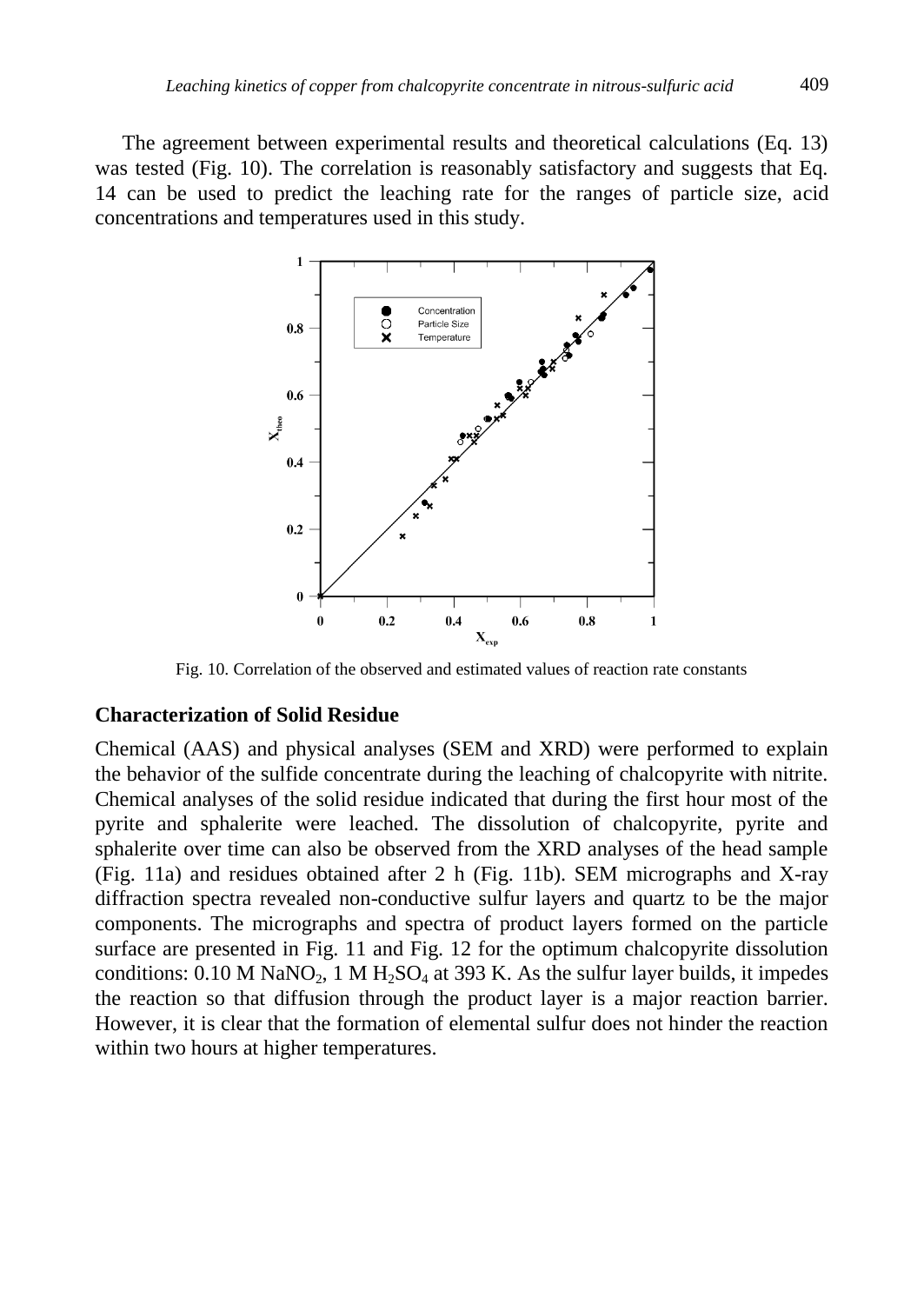The agreement between experimental results and theoretical calculations (Eq. 13) was tested (Fig. 10). The correlation is reasonably satisfactory and suggests that Eq. 14 can be used to predict the leaching rate for the ranges of particle size, acid concentrations and temperatures used in this study.



Fig. 10. Correlation of the observed and estimated values of reaction rate constants

### **Characterization of Solid Residue**

Chemical (AAS) and physical analyses (SEM and XRD) were performed to explain the behavior of the sulfide concentrate during the leaching of chalcopyrite with nitrite. Chemical analyses of the solid residue indicated that during the first hour most of the pyrite and sphalerite were leached. The dissolution of chalcopyrite, pyrite and sphalerite over time can also be observed from the XRD analyses of the head sample (Fig. 11a) and residues obtained after 2 h (Fig. 11b). SEM micrographs and X-ray diffraction spectra revealed non-conductive sulfur layers and quartz to be the major components. The micrographs and spectra of product layers formed on the particle surface are presented in Fig. 11 and Fig. 12 for the optimum chalcopyrite dissolution conditions:  $0.10$  M NaNO<sub>2</sub>, 1 M H<sub>2</sub>SO<sub>4</sub> at 393 K. As the sulfur layer builds, it impedes the reaction so that diffusion through the product layer is a major reaction barrier. However, it is clear that the formation of elemental sulfur does not hinder the reaction within two hours at higher temperatures.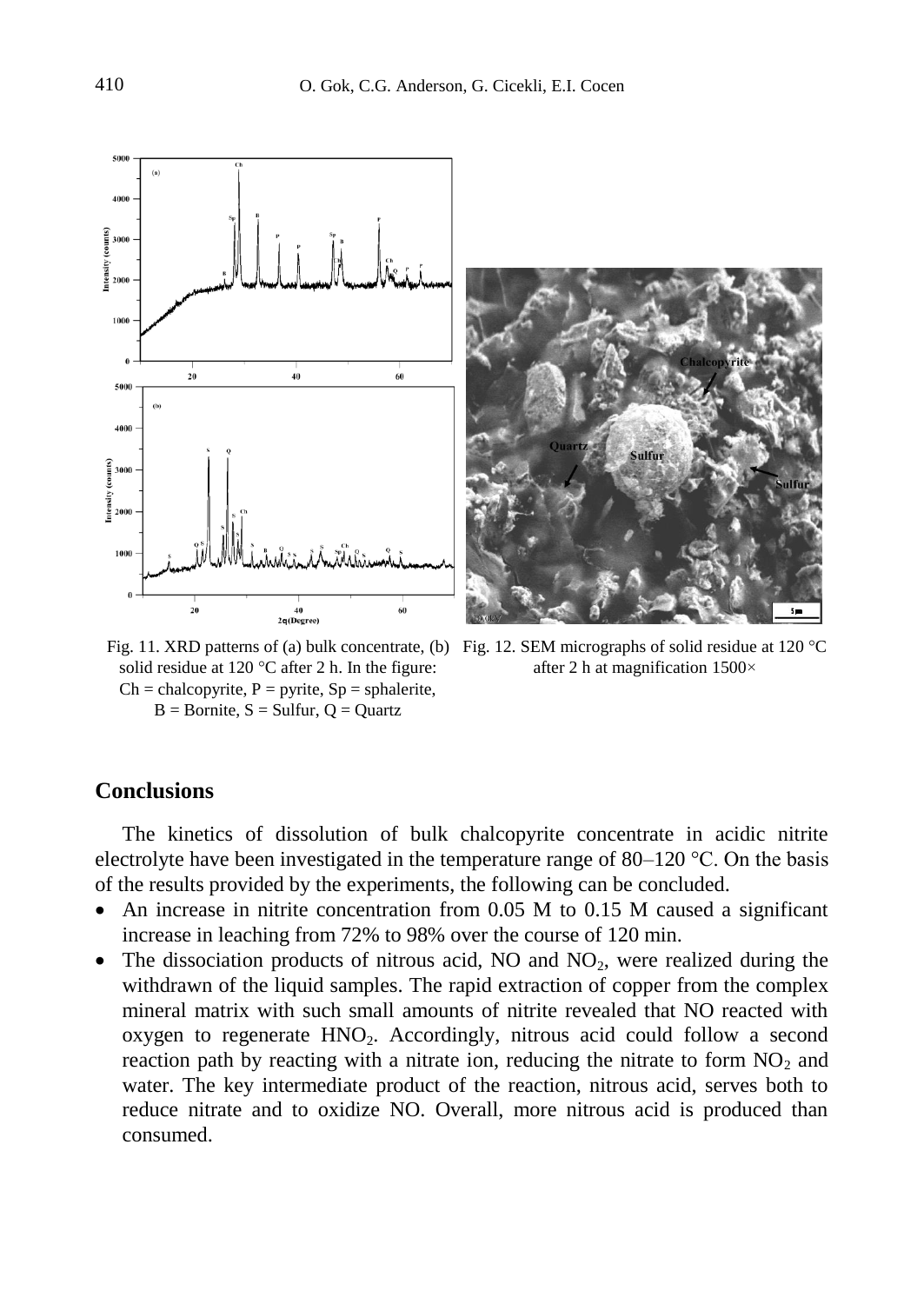

solid residue at 120 °C after 2 h. In the figure:  $Ch =$ chalcopyrite,  $P =$  pyrite,  $Sp =$ sphalerite,  $B =$  Bornite,  $S =$  Sulfur,  $Q =$  Quartz

Fig. 11. XRD patterns of (a) bulk concentrate, (b) Fig. 12. SEM micrographs of solid residue at 120 °C after 2 h at magnification 1500×

# **Conclusions**

The kinetics of dissolution of bulk chalcopyrite concentrate in acidic nitrite electrolyte have been investigated in the temperature range of 80–120 °C. On the basis of the results provided by the experiments, the following can be concluded.

- An increase in nitrite concentration from 0.05 M to 0.15 M caused a significant increase in leaching from 72% to 98% over the course of 120 min.
- The dissociation products of nitrous acid, NO and  $NO<sub>2</sub>$ , were realized during the withdrawn of the liquid samples. The rapid extraction of copper from the complex mineral matrix with such small amounts of nitrite revealed that NO reacted with oxygen to regenerate  $HNO<sub>2</sub>$ . Accordingly, nitrous acid could follow a second reaction path by reacting with a nitrate ion, reducing the nitrate to form  $NO<sub>2</sub>$  and water. The key intermediate product of the reaction, nitrous acid, serves both to reduce nitrate and to oxidize NO. Overall, more nitrous acid is produced than consumed.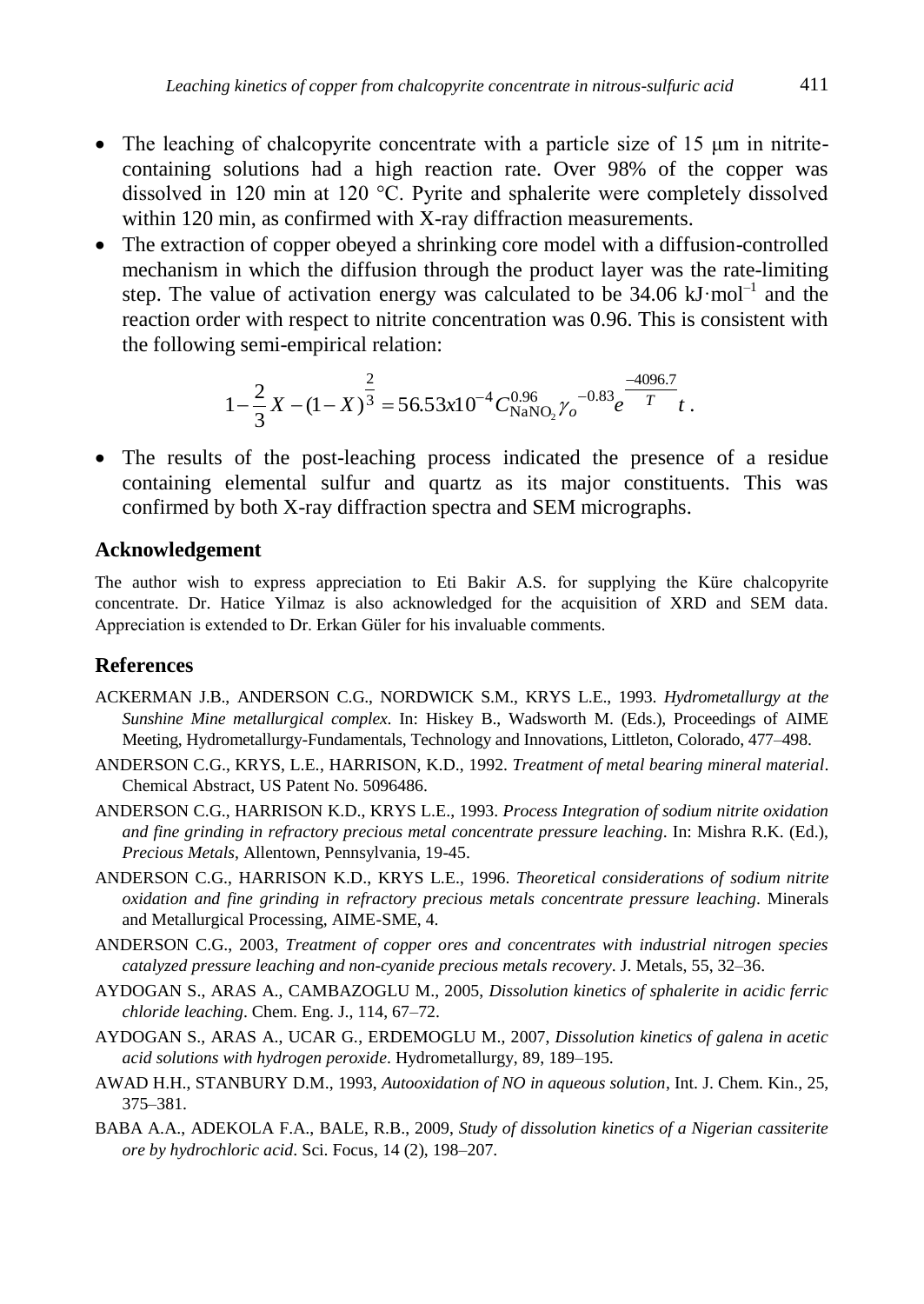- The leaching of chalcopyrite concentrate with a particle size of 15  $\mu$ m in nitritecontaining solutions had a high reaction rate. Over 98% of the copper was dissolved in 120 min at 120 °C. Pyrite and sphalerite were completely dissolved within 120 min, as confirmed with X-ray diffraction measurements.
- The extraction of copper obeyed a shrinking core model with a diffusion-controlled mechanism in which the diffusion through the product layer was the rate-limiting step. The value of activation energy was calculated to be  $34.06 \text{ kJ} \cdot \text{mol}^{-1}$  and the reaction order with respect to nitrite concentration was 0.96. This is consistent with the following semi-empirical relation:

$$
1 - \frac{2}{3}X - (1 - X)^{\frac{2}{3}} = 56.53x10^{-4}C_{\text{NaNO}_2}^{0.96}\gamma_o^{-0.83}e^{\frac{-4096.7}{T}}t.
$$

 The results of the post-leaching process indicated the presence of a residue containing elemental sulfur and quartz as its major constituents. This was confirmed by both X-ray diffraction spectra and SEM micrographs.

# **Acknowledgement**

The author wish to express appreciation to Eti Bakir A.S. for supplying the Küre chalcopyrite concentrate. Dr. Hatice Yilmaz is also acknowledged for the acquisition of XRD and SEM data. Appreciation is extended to Dr. Erkan Güler for his invaluable comments.

# **References**

- ACKERMAN J.B., ANDERSON C.G., NORDWICK S.M., KRYS L.E., 1993. *Hydrometallurgy at the Sunshine Mine metallurgical complex*. In: Hiskey B., Wadsworth M. (Eds.), Proceedings of AIME Meeting, Hydrometallurgy-Fundamentals, Technology and Innovations, Littleton, Colorado, 477–498.
- ANDERSON C.G., KRYS, L.E., HARRISON, K.D., 1992. *Treatment of metal bearing mineral material*. Chemical Abstract, US Patent No. 5096486.
- ANDERSON C.G., HARRISON K.D., KRYS L.E., 1993. *Process Integration of sodium nitrite oxidation and fine grinding in refractory precious metal concentrate pressure leaching*. In: Mishra R.K. (Ed.), *Precious Metals*, Allentown, Pennsylvania, 19-45.
- ANDERSON C.G., HARRISON K.D., KRYS L.E., 1996. *Theoretical considerations of sodium nitrite oxidation and fine grinding in refractory precious metals concentrate pressure leaching*. Minerals and Metallurgical Processing, AIME-SME, 4.
- ANDERSON C.G., 2003, *Treatment of copper ores and concentrates with industrial nitrogen species catalyzed pressure leaching and non-cyanide precious metals recovery*. J. Metals, 55, 32–36.
- AYDOGAN S., ARAS A., CAMBAZOGLU M., 2005, *Dissolution kinetics of sphalerite in acidic ferric chloride leaching*. Chem. Eng. J., 114, 67–72.
- AYDOGAN S., ARAS A., UCAR G., ERDEMOGLU M., 2007, *Dissolution kinetics of galena in acetic acid solutions with hydrogen peroxide*. Hydrometallurgy, 89, 189–195.
- AWAD H.H., STANBURY D.M., 1993, *Autooxidation of NO in aqueous solution*, Int. J. Chem. Kin., 25, 375–381.
- BABA A.A., ADEKOLA F.A., BALE, R.B., 2009, *Study of dissolution kinetics of a Nigerian cassiterite ore by hydrochloric acid*. Sci. Focus, 14 (2), 198–207.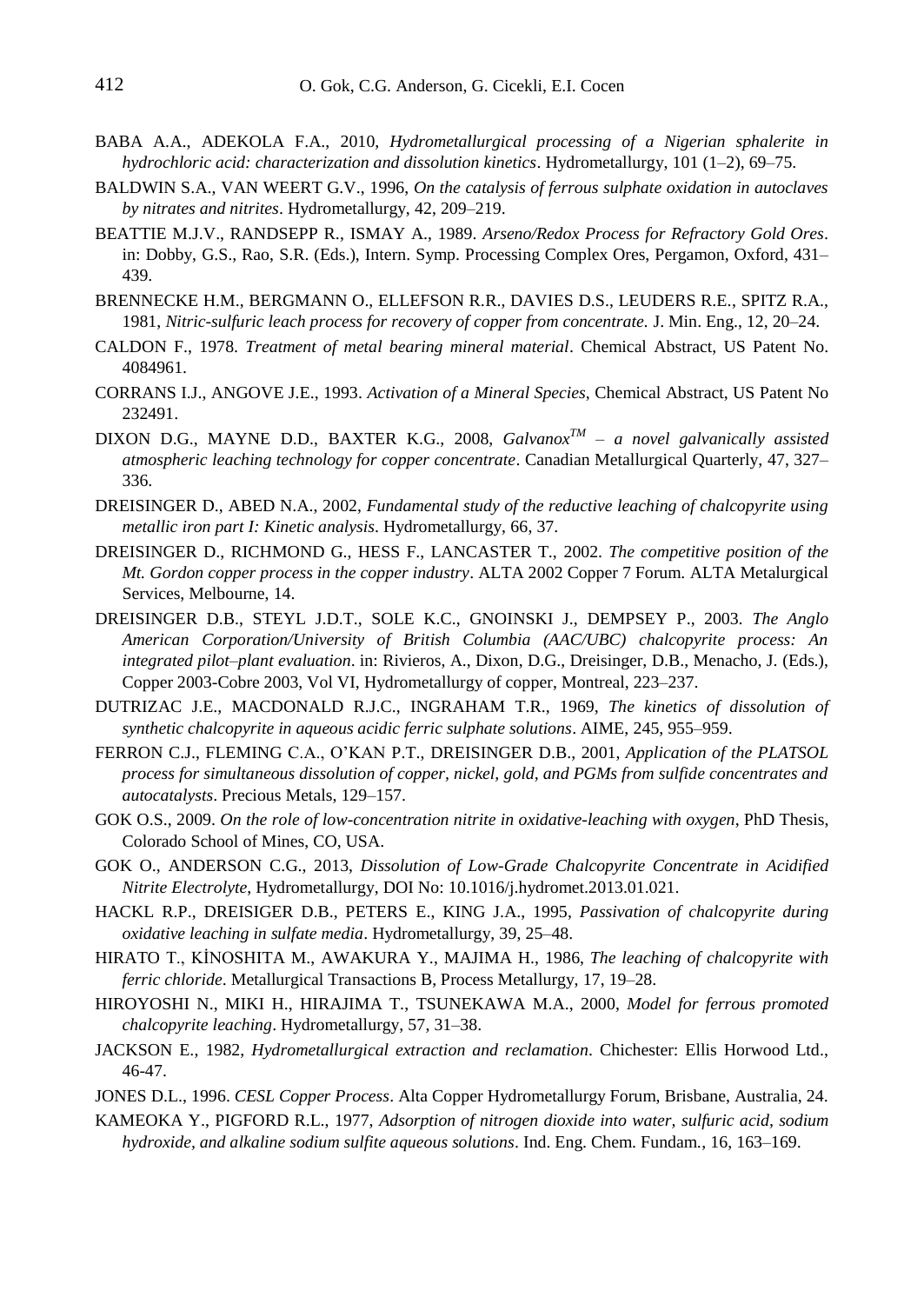- BABA A.A., ADEKOLA F.A., 2010, *Hydrometallurgical processing of a Nigerian sphalerite in hydrochloric acid: characterization and dissolution kinetics*. Hydrometallurgy, 101 (1–2), 69–75.
- BALDWIN S.A., VAN WEERT G.V., 1996, *On the catalysis of ferrous sulphate oxidation in autoclaves by nitrates and nitrites*. Hydrometallurgy, 42, 209–219.
- BEATTIE M.J.V., RANDSEPP R., ISMAY A., 1989. *Arseno/Redox Process for Refractory Gold Ores*. in: Dobby, G.S., Rao, S.R. (Eds.), Intern. Symp. Processing Complex Ores, Pergamon, Oxford, 431– 439.
- BRENNECKE H.M., BERGMANN O., ELLEFSON R.R., DAVIES D.S., LEUDERS R.E., SPITZ R.A., 1981, *Nitric-sulfuric leach process for recovery of copper from concentrate.* J. Min. Eng., 12, 20–24.
- CALDON F., 1978. *Treatment of metal bearing mineral material*. Chemical Abstract, US Patent No. 4084961.
- CORRANS I.J., ANGOVE J.E., 1993. *Activation of a Mineral Species*, Chemical Abstract, US Patent No 232491.
- DIXON D.G., MAYNE D.D., BAXTER K.G., 2008, *GalvanoxTM – a novel galvanically assisted atmospheric leaching technology for copper concentrate*. Canadian Metallurgical Quarterly, 47, 327– 336.
- DREISINGER D., ABED N.A., 2002, *Fundamental study of the reductive leaching of chalcopyrite using metallic iron part I: Kinetic analysis*. Hydrometallurgy, 66, 37.
- DREISINGER D., RICHMOND G., HESS F., LANCASTER T., 2002. *The competitive position of the Mt. Gordon copper process in the copper industry*. ALTA 2002 Copper 7 Forum. ALTA Metalurgical Services, Melbourne, 14.
- DREISINGER D.B., STEYL J.D.T., SOLE K.C., GNOINSKI J., DEMPSEY P., 2003. *The Anglo American Corporation/University of British Columbia (AAC/UBC) chalcopyrite process: An integrated pilot–plant evaluation*. in: Rivieros, A., Dixon, D.G., Dreisinger, D.B., Menacho, J. (Eds.), Copper 2003-Cobre 2003, Vol VI, Hydrometallurgy of copper, Montreal, 223–237.
- DUTRIZAC J.E., MACDONALD R.J.C., INGRAHAM T.R., 1969, *The kinetics of dissolution of synthetic chalcopyrite in aqueous acidic ferric sulphate solutions*. AIME, 245, 955–959.
- FERRON C.J., FLEMING C.A., O'KAN P.T., DREISINGER D.B., 2001, *Application of the PLATSOL process for simultaneous dissolution of copper, nickel, gold, and PGMs from sulfide concentrates and autocatalysts*. Precious Metals, 129–157.
- GOK O.S., 2009. *On the role of low-concentration nitrite in oxidative-leaching with oxygen*, PhD Thesis, Colorado School of Mines, CO, USA.
- GOK O., ANDERSON C.G., 2013, *Dissolution of Low-Grade Chalcopyrite Concentrate in Acidified Nitrite Electrolyte*, Hydrometallurgy, DOI No: 10.1016/j.hydromet.2013.01.021.
- HACKL R.P., DREISIGER D.B., PETERS E., KING J.A., 1995, *Passivation of chalcopyrite during oxidative leaching in sulfate media*. Hydrometallurgy, 39, 25–48.
- HIRATO T., KİNOSHITA M., AWAKURA Y., MAJIMA H., 1986, *The leaching of chalcopyrite with ferric chloride*. Metallurgical Transactions B, Process Metallurgy, 17, 19–28.
- HIROYOSHI N., MIKI H., HIRAJIMA T., TSUNEKAWA M.A., 2000, *Model for ferrous promoted chalcopyrite leaching*. Hydrometallurgy, 57, 31–38.
- JACKSON E., 1982, *Hydrometallurgical extraction and reclamation*. Chichester: Ellis Horwood Ltd., 46-47.
- JONES D.L., 1996. *CESL Copper Process*. Alta Copper Hydrometallurgy Forum, Brisbane, Australia, 24.
- KAMEOKA Y., PIGFORD R.L., 1977, *Adsorption of nitrogen dioxide into water, sulfuric acid, sodium hydroxide, and alkaline sodium sulfite aqueous solutions*. Ind. Eng. Chem. Fundam., 16, 163–169.